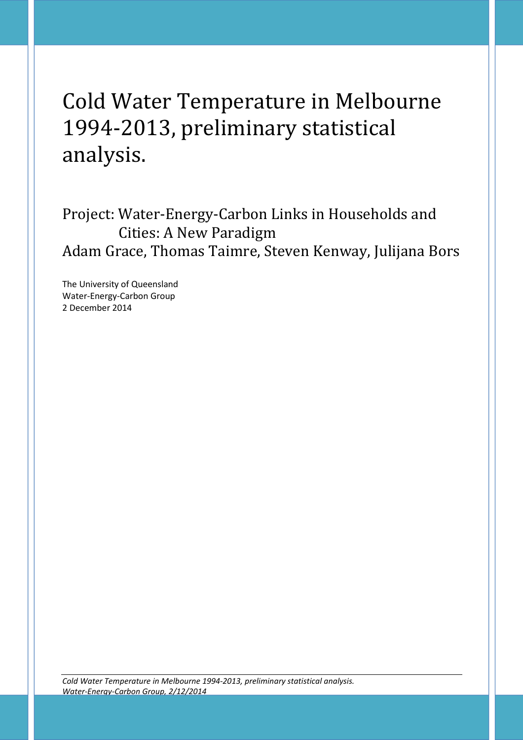# Cold Water Temperature in Melbourne 1994-2013, preliminary statistical analysis.

Project: Water-Energy-Carbon Links in Households and Cities: A New Paradigm Adam Grace, Thomas Taimre, Steven Kenway, Julijana Bors

The University of Queensland Water-Energy-Carbon Group 2 December 2014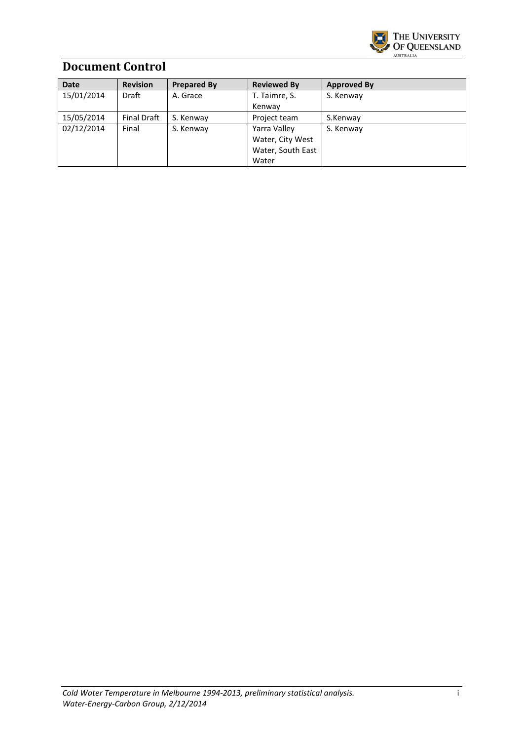

## **Document Control**

| <b>Date</b> | <b>Revision</b>    | <b>Prepared By</b> | <b>Reviewed By</b> | <b>Approved By</b> |
|-------------|--------------------|--------------------|--------------------|--------------------|
| 15/01/2014  | Draft              | A. Grace           | T. Taimre, S.      | S. Kenway          |
|             |                    |                    | Kenway             |                    |
| 15/05/2014  | <b>Final Draft</b> | S. Kenway          | Project team       | S.Kenway           |
| 02/12/2014  | Final              | S. Kenway          | Yarra Valley       | S. Kenway          |
|             |                    |                    | Water, City West   |                    |
|             |                    |                    | Water, South East  |                    |
|             |                    |                    | Water              |                    |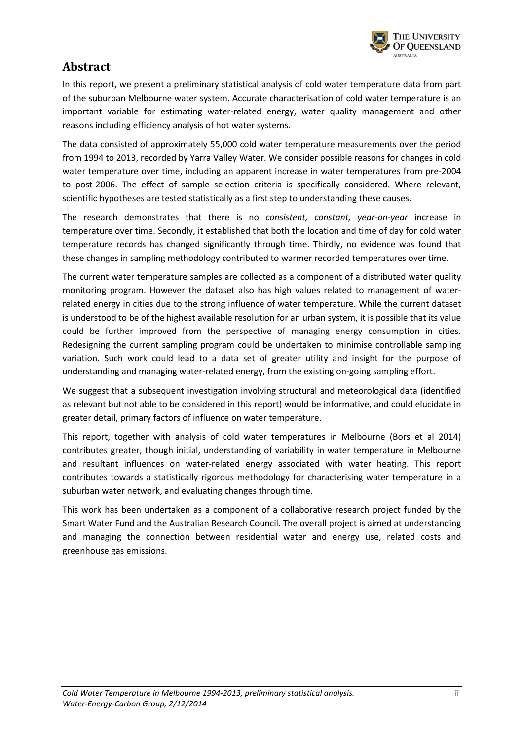

## **Abstract**

In this report, we present a preliminary statistical analysis of cold water temperature data from part of the suburban Melbourne water system. Accurate characterisation of cold water temperature is an important variable for estimating water-related energy, water quality management and other reasons including efficiency analysis of hot water systems.

The data consisted of approximately 55,000 cold water temperature measurements over the period from 1994 to 2013, recorded by Yarra Valley Water. We consider possible reasons for changes in cold water temperature over time, including an apparent increase in water temperatures from pre-2004 to post-2006. The effect of sample selection criteria is specifically considered. Where relevant, scientific hypotheses are tested statistically as a first step to understanding these causes.

The research demonstrates that there is no *consistent, constant, year-on-year* increase in temperature over time. Secondly, it established that both the location and time of day for cold water temperature records has changed significantly through time. Thirdly, no evidence was found that these changes in sampling methodology contributed to warmer recorded temperatures over time.

The current water temperature samples are collected as a component of a distributed water quality monitoring program. However the dataset also has high values related to management of waterrelated energy in cities due to the strong influence of water temperature. While the current dataset is understood to be of the highest available resolution for an urban system, it is possible that its value could be further improved from the perspective of managing energy consumption in cities. Redesigning the current sampling program could be undertaken to minimise controllable sampling variation. Such work could lead to a data set of greater utility and insight for the purpose of understanding and managing water-related energy, from the existing on-going sampling effort.

We suggest that a subsequent investigation involving structural and meteorological data (identified as relevant but not able to be considered in this report) would be informative, and could elucidate in greater detail, primary factors of influence on water temperature.

This report, together with analysis of cold water temperatures in Melbourne (Bors et al 2014) contributes greater, though initial, understanding of variability in water temperature in Melbourne and resultant influences on water-related energy associated with water heating. This report contributes towards a statistically rigorous methodology for characterising water temperature in a suburban water network, and evaluating changes through time.

This work has been undertaken as a component of a collaborative research project funded by the Smart Water Fund and the Australian Research Council. The overall project is aimed at understanding and managing the connection between residential water and energy use, related costs and greenhouse gas emissions.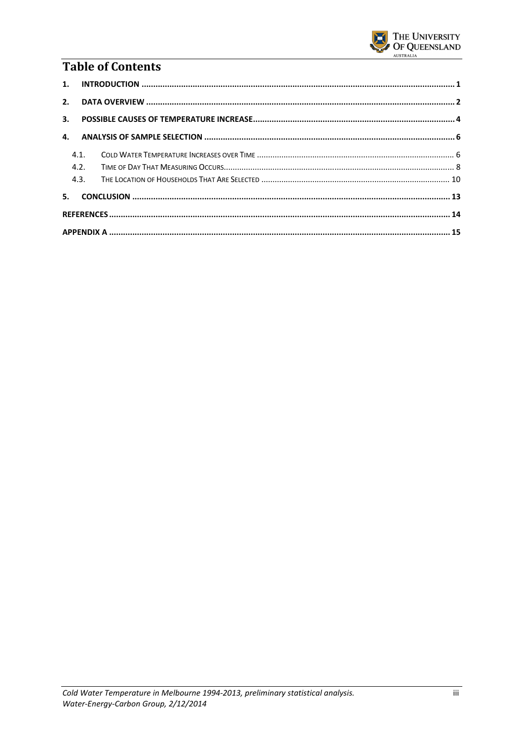

# **Table of Contents**

| 4.1. |  |  |  |  |  |  |  |  |  |  |
|------|--|--|--|--|--|--|--|--|--|--|
| 4.2. |  |  |  |  |  |  |  |  |  |  |
| 4.3. |  |  |  |  |  |  |  |  |  |  |
|      |  |  |  |  |  |  |  |  |  |  |
|      |  |  |  |  |  |  |  |  |  |  |
|      |  |  |  |  |  |  |  |  |  |  |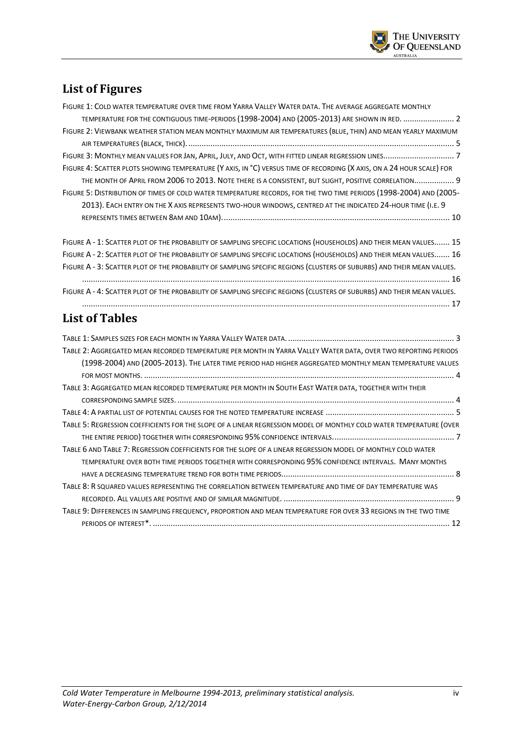

# **List of Figures**

| FIGURE 1: COLD WATER TEMPERATURE OVER TIME FROM YARRA VALLEY WATER DATA. THE AVERAGE AGGREGATE MONTHLY                  |  |
|-------------------------------------------------------------------------------------------------------------------------|--|
| TEMPERATURE FOR THE CONTIGUOUS TIME-PERIODS (1998-2004) AND (2005-2013) ARE SHOWN IN RED.  2                            |  |
| FIGURE 2: VIEWBANK WEATHER STATION MEAN MONTHLY MAXIMUM AIR TEMPERATURES (BLUE, THIN) AND MEAN YEARLY MAXIMUM           |  |
|                                                                                                                         |  |
|                                                                                                                         |  |
| FIGURE 4: SCATTER PLOTS SHOWING TEMPERATURE (Y AXIS, IN °C) VERSUS TIME OF RECORDING (X AXIS, ON A 24 HOUR SCALE) FOR   |  |
| THE MONTH OF APRIL FROM 2006 TO 2013. NOTE THERE IS A CONSISTENT, BUT SLIGHT, POSITIVE CORRELATION 9                    |  |
| FIGURE 5: DISTRIBUTION OF TIMES OF COLD WATER TEMPERATURE RECORDS, FOR THE TWO TIME PERIODS (1998-2004) AND (2005-      |  |
| 2013). EACH ENTRY ON THE X AXIS REPRESENTS TWO-HOUR WINDOWS, CENTRED AT THE INDICATED 24-HOUR TIME (I.E. 9              |  |
|                                                                                                                         |  |
| FIGURE A - 1: SCATTER PLOT OF THE PROBABILITY OF SAMPLING SPECIFIC LOCATIONS (HOUSEHOLDS) AND THEIR MEAN VALUES 15      |  |
| FIGURE A - 2: SCATTER PLOT OF THE PROBABILITY OF SAMPLING SPECIFIC LOCATIONS (HOUSEHOLDS) AND THEIR MEAN VALUES 16      |  |
| FIGURE A - 3: SCATTER PLOT OF THE PROBABILITY OF SAMPLING SPECIFIC REGIONS (CLUSTERS OF SUBURBS) AND THEIR MEAN VALUES. |  |
|                                                                                                                         |  |
| FIGURE A - 4: SCATTER PLOT OF THE PROBABILITY OF SAMPLING SPECIFIC REGIONS (CLUSTERS OF SUBURBS) AND THEIR MEAN VALUES. |  |
|                                                                                                                         |  |
| <b>List of Tables</b>                                                                                                   |  |
|                                                                                                                         |  |
| TABLE 2: AGGREGATED MEAN RECORDED TEMPERATURE PER MONTH IN YARRA VALLEY WATER DATA, OVER TWO REPORTING PERIODS          |  |
| (1998-2004) AND (2005-2013). THE LATER TIME PERIOD HAD HIGHER AGGREGATED MONTHLY MEAN TEMPERATURE VALUES                |  |
|                                                                                                                         |  |
| TABLE 3: AGGREGATED MEAN RECORDED TEMPERATURE PER MONTH IN SOUTH EAST WATER DATA, TOGETHER WITH THEIR                   |  |
|                                                                                                                         |  |
|                                                                                                                         |  |
| TABLE 5: REGRESSION COEFFICIENTS FOR THE SLOPE OF A LINEAR REGRESSION MODEL OF MONTHLY COLD WATER TEMPERATURE (OVER     |  |
|                                                                                                                         |  |
| TABLE 6 AND TABLE 7: REGRESSION COEFFICIENTS FOR THE SLOPE OF A LINEAR REGRESSION MODEL OF MONTHLY COLD WATER           |  |
| TEMPERATURE OVER BOTH TIME PERIODS TOGETHER WITH CORRESPONDING 95% CONFIDENCE INTERVALS. MANY MONTHS                    |  |
|                                                                                                                         |  |
| TABLE 8: R SQUARED VALUES REPRESENTING THE CORRELATION BETWEEN TEMPERATURE AND TIME OF DAY TEMPERATURE WAS              |  |
|                                                                                                                         |  |

| TABLE 9: DIFFERENCES IN SAMPLING FREQUENCY, PROPORTION AND MEAN TEMPERATURE FOR OVER 33 REGIONS IN THE TWO TIME |  |
|-----------------------------------------------------------------------------------------------------------------|--|
|                                                                                                                 |  |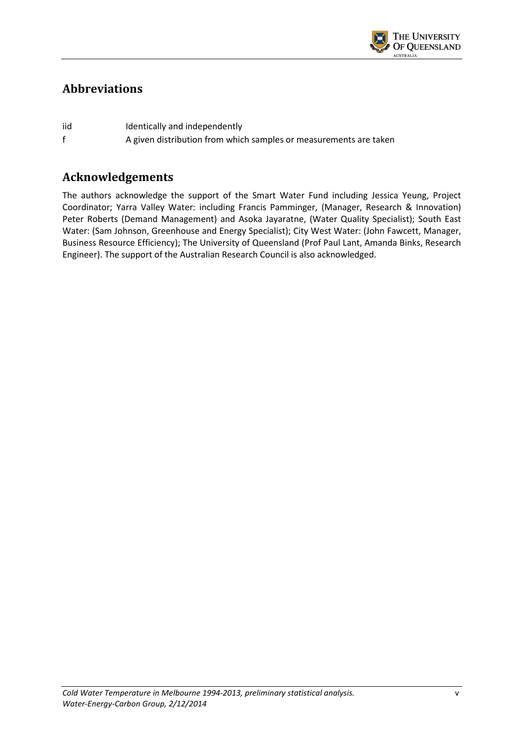

## **Abbreviations**

iid Identically and independently f A given distribution from which samples or measurements are taken

## **Acknowledgements**

The authors acknowledge the support of the Smart Water Fund including Jessica Yeung, Project Coordinator; Yarra Valley Water: including Francis Pamminger, (Manager, Research & Innovation) Peter Roberts (Demand Management) and Asoka Jayaratne, (Water Quality Specialist); South East Water: (Sam Johnson, Greenhouse and Energy Specialist); City West Water: (John Fawcett, Manager, Business Resource Efficiency); The University of Queensland (Prof Paul Lant, Amanda Binks, Research Engineer). The support of the Australian Research Council is also acknowledged.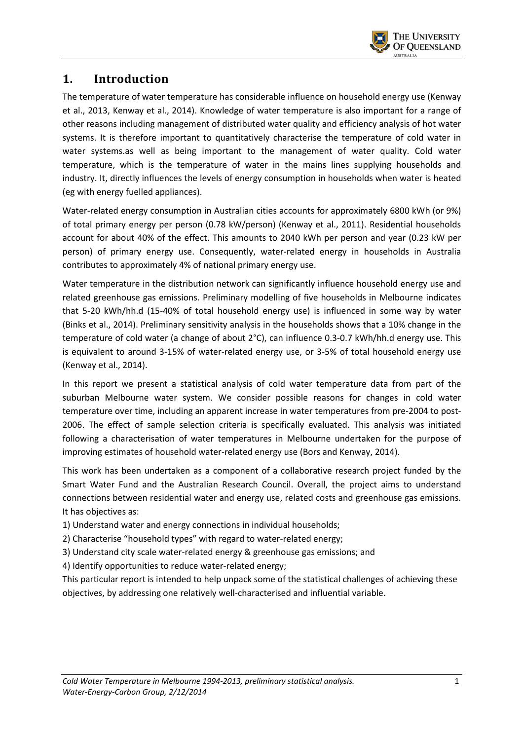

## **1. Introduction**

The temperature of water temperature has considerable influence on household energy use (Kenway et al., 2013, Kenway et al., 2014). Knowledge of water temperature is also important for a range of other reasons including management of distributed water quality and efficiency analysis of hot water systems. It is therefore important to quantitatively characterise the temperature of cold water in water systems.as well as being important to the management of water quality. Cold water temperature, which is the temperature of water in the mains lines supplying households and industry. It, directly influences the levels of energy consumption in households when water is heated (eg with energy fuelled appliances).

Water-related energy consumption in Australian cities accounts for approximately 6800 kWh (or 9%) of total primary energy per person (0.78 kW/person) (Kenway et al., 2011). Residential households account for about 40% of the effect. This amounts to 2040 kWh per person and year (0.23 kW per person) of primary energy use. Consequently, water-related energy in households in Australia contributes to approximately 4% of national primary energy use.

Water temperature in the distribution network can significantly influence household energy use and related greenhouse gas emissions. Preliminary modelling of five households in Melbourne indicates that 5-20 kWh/hh.d (15-40% of total household energy use) is influenced in some way by water (Binks et al., 2014). Preliminary sensitivity analysis in the households shows that a 10% change in the temperature of cold water (a change of about 2°C), can influence 0.3-0.7 kWh/hh.d energy use. This is equivalent to around 3-15% of water-related energy use, or 3-5% of total household energy use (Kenway et al., 2014).

In this report we present a statistical analysis of cold water temperature data from part of the suburban Melbourne water system. We consider possible reasons for changes in cold water temperature over time, including an apparent increase in water temperatures from pre-2004 to post-2006. The effect of sample selection criteria is specifically evaluated. This analysis was initiated following a characterisation of water temperatures in Melbourne undertaken for the purpose of improving estimates of household water-related energy use (Bors and Kenway, 2014).

This work has been undertaken as a component of a collaborative research project funded by the Smart Water Fund and the Australian Research Council. Overall, the project aims to understand connections between residential water and energy use, related costs and greenhouse gas emissions. It has objectives as:

1) Understand water and energy connections in individual households;

2) Characterise "household types" with regard to water-related energy;

3) Understand city scale water-related energy & greenhouse gas emissions; and

4) Identify opportunities to reduce water-related energy;

This particular report is intended to help unpack some of the statistical challenges of achieving these objectives, by addressing one relatively well-characterised and influential variable.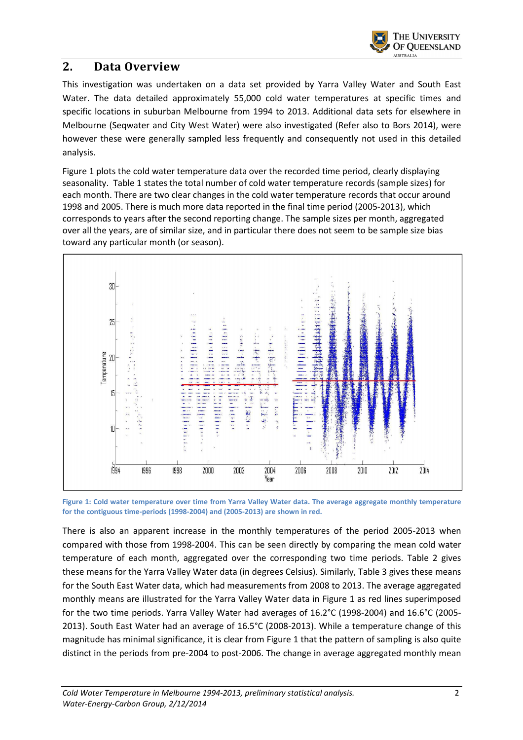

#### **2. Data Overview**

This investigation was undertaken on a data set provided by Yarra Valley Water and South East Water. The data detailed approximately 55,000 cold water temperatures at specific times and specific locations in suburban Melbourne from 1994 to 2013. Additional data sets for elsewhere in Melbourne (Seqwater and City West Water) were also investigated (Refer also to Bors 2014), were however these were generally sampled less frequently and consequently not used in this detailed analysis.

Figure 1 plots the cold water temperature data over the recorded time period, clearly displaying seasonality. Table 1 states the total number of cold water temperature records (sample sizes) for each month. There are two clear changes in the cold water temperature records that occur around 1998 and 2005. There is much more data reported in the final time period (2005-2013), which corresponds to years after the second reporting change. The sample sizes per month, aggregated over all the years, are of similar size, and in particular there does not seem to be sample size bias toward any particular month (or season).



**Figure 1: Cold water temperature over time from Yarra Valley Water data. The average aggregate monthly temperature for the contiguous time-periods (1998-2004) and (2005-2013) are shown in red.** 

There is also an apparent increase in the monthly temperatures of the period 2005-2013 when compared with those from 1998-2004. This can be seen directly by comparing the mean cold water temperature of each month, aggregated over the corresponding two time periods. Table 2 gives these means for the Yarra Valley Water data (in degrees Celsius). Similarly, Table 3 gives these means for the South East Water data, which had measurements from 2008 to 2013. The average aggregated monthly means are illustrated for the Yarra Valley Water data in Figure 1 as red lines superimposed for the two time periods. Yarra Valley Water had averages of 16.2°C (1998-2004) and 16.6°C (2005- 2013). South East Water had an average of 16.5°C (2008-2013). While a temperature change of this magnitude has minimal significance, it is clear from Figure 1 that the pattern of sampling is also quite distinct in the periods from pre-2004 to post-2006. The change in average aggregated monthly mean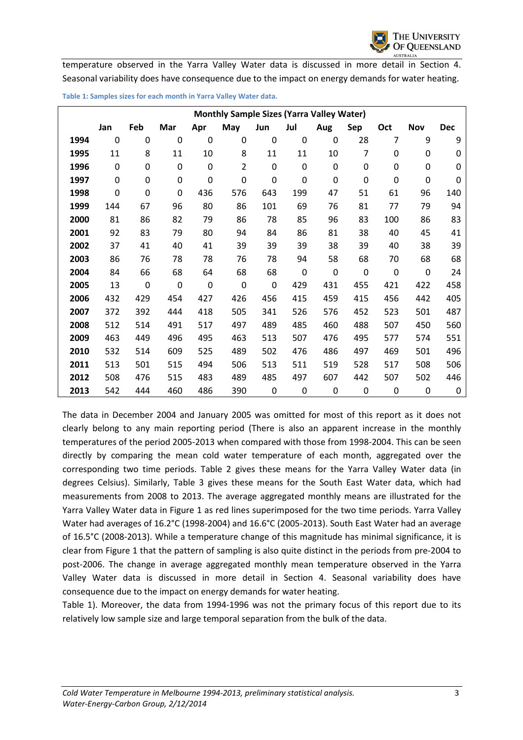temperature observed in the Yarra Valley Water data is discussed in more detail in Section 4. Seasonal variability does have consequence due to the impact on energy demands for water heating.

|      |             |     |             |             | <b>Monthly Sample Sizes (Yarra Valley Water)</b> |             |     |             |             |             |                  |            |
|------|-------------|-----|-------------|-------------|--------------------------------------------------|-------------|-----|-------------|-------------|-------------|------------------|------------|
|      | Jan         | Feb | Mar         | Apr         | May                                              | Jun         | Jul | Aug         | Sep         | Oct         | <b>Nov</b>       | <b>Dec</b> |
| 1994 | $\mathbf 0$ | 0   | $\mathbf 0$ | $\mathbf 0$ | 0                                                | $\mathbf 0$ | 0   | 0           | 28          | 7           | 9                | 9          |
| 1995 | 11          | 8   | 11          | 10          | 8                                                | 11          | 11  | 10          | 7           | $\mathbf 0$ | 0                | 0          |
| 1996 | $\mathbf 0$ | 0   | 0           | $\mathbf 0$ | $\overline{2}$                                   | $\mathbf 0$ | 0   | $\mathbf 0$ | $\mathbf 0$ | $\mathbf 0$ | $\mathbf 0$      | 0          |
| 1997 | $\mathbf 0$ | 0   | 0           | $\mathbf 0$ | $\mathbf 0$                                      | $\mathbf 0$ | 0   | $\mathbf 0$ | $\mathbf 0$ | $\mathbf 0$ | $\boldsymbol{0}$ | 0          |
| 1998 | 0           | 0   | 0           | 436         | 576                                              | 643         | 199 | 47          | 51          | 61          | 96               | 140        |
| 1999 | 144         | 67  | 96          | 80          | 86                                               | 101         | 69  | 76          | 81          | 77          | 79               | 94         |
| 2000 | 81          | 86  | 82          | 79          | 86                                               | 78          | 85  | 96          | 83          | 100         | 86               | 83         |
| 2001 | 92          | 83  | 79          | 80          | 94                                               | 84          | 86  | 81          | 38          | 40          | 45               | 41         |
| 2002 | 37          | 41  | 40          | 41          | 39                                               | 39          | 39  | 38          | 39          | 40          | 38               | 39         |
| 2003 | 86          | 76  | 78          | 78          | 76                                               | 78          | 94  | 58          | 68          | 70          | 68               | 68         |
| 2004 | 84          | 66  | 68          | 64          | 68                                               | 68          | 0   | $\mathbf 0$ | $\mathbf 0$ | $\mathbf 0$ | $\boldsymbol{0}$ | 24         |
| 2005 | 13          | 0   | $\mathbf 0$ | $\mathbf 0$ | $\mathbf 0$                                      | $\mathbf 0$ | 429 | 431         | 455         | 421         | 422              | 458        |
| 2006 | 432         | 429 | 454         | 427         | 426                                              | 456         | 415 | 459         | 415         | 456         | 442              | 405        |
| 2007 | 372         | 392 | 444         | 418         | 505                                              | 341         | 526 | 576         | 452         | 523         | 501              | 487        |
| 2008 | 512         | 514 | 491         | 517         | 497                                              | 489         | 485 | 460         | 488         | 507         | 450              | 560        |
| 2009 | 463         | 449 | 496         | 495         | 463                                              | 513         | 507 | 476         | 495         | 577         | 574              | 551        |
| 2010 | 532         | 514 | 609         | 525         | 489                                              | 502         | 476 | 486         | 497         | 469         | 501              | 496        |
| 2011 | 513         | 501 | 515         | 494         | 506                                              | 513         | 511 | 519         | 528         | 517         | 508              | 506        |
| 2012 | 508         | 476 | 515         | 483         | 489                                              | 485         | 497 | 607         | 442         | 507         | 502              | 446        |
| 2013 | 542         | 444 | 460         | 486         | 390                                              | $\mathbf 0$ | 0   | 0           | $\mathbf 0$ | 0           | $\boldsymbol{0}$ | 0          |

**Table 1: Samples sizes for each month in Yarra Valley Water data.** 

The data in December 2004 and January 2005 was omitted for most of this report as it does not clearly belong to any main reporting period (There is also an apparent increase in the monthly temperatures of the period 2005-2013 when compared with those from 1998-2004. This can be seen directly by comparing the mean cold water temperature of each month, aggregated over the corresponding two time periods. Table 2 gives these means for the Yarra Valley Water data (in degrees Celsius). Similarly, Table 3 gives these means for the South East Water data, which had measurements from 2008 to 2013. The average aggregated monthly means are illustrated for the Yarra Valley Water data in Figure 1 as red lines superimposed for the two time periods. Yarra Valley Water had averages of 16.2°C (1998-2004) and 16.6°C (2005-2013). South East Water had an average of 16.5°C (2008-2013). While a temperature change of this magnitude has minimal significance, it is clear from Figure 1 that the pattern of sampling is also quite distinct in the periods from pre-2004 to post-2006. The change in average aggregated monthly mean temperature observed in the Yarra Valley Water data is discussed in more detail in Section 4. Seasonal variability does have consequence due to the impact on energy demands for water heating.

Table 1). Moreover, the data from 1994-1996 was not the primary focus of this report due to its relatively low sample size and large temporal separation from the bulk of the data.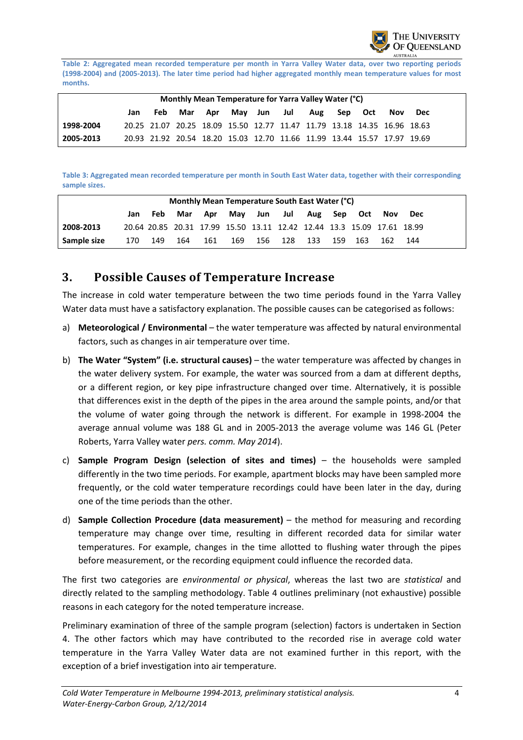

**Table 2: Aggregated mean recorded temperature per month in Yarra Valley Water data, over two reporting periods (1998-2004) and (2005-2013). The later time period had higher aggregated monthly mean temperature values for most months.** 

|                                                                                      | Monthly Mean Temperature for Yarra Valley Water (°C) |  |                                                                         |  |  |  |  |  |  |  |  |  |  |
|--------------------------------------------------------------------------------------|------------------------------------------------------|--|-------------------------------------------------------------------------|--|--|--|--|--|--|--|--|--|--|
| Mar Apr May Jun Jul<br>Aug Sep Oct<br>Feb<br>Nov<br>Dec<br>Jan                       |                                                      |  |                                                                         |  |  |  |  |  |  |  |  |  |  |
| 1998-2004                                                                            |                                                      |  | 20.25 21.07 20.25 18.09 15.50 12.77 11.47 11.79 13.18 14.35 16.96 18.63 |  |  |  |  |  |  |  |  |  |  |
| 20.93 21.92 20.54 18.20 15.03 12.70 11.66 11.99 13.44 15.57 17.97 19.69<br>2005-2013 |                                                      |  |                                                                         |  |  |  |  |  |  |  |  |  |  |

**Table 3: Aggregated mean recorded temperature per month in South East Water data, together with their corresponding sample sizes.** 

|                                                                                        | Monthly Mean Temperature South East Water (°C) |     |     |                                                                        |  |  |  |                         |  |  |     |            |  |
|----------------------------------------------------------------------------------------|------------------------------------------------|-----|-----|------------------------------------------------------------------------|--|--|--|-------------------------|--|--|-----|------------|--|
|                                                                                        | Jan                                            | Feb | Mar | - Apr -                                                                |  |  |  | May Jun Jul Aug Sep Oct |  |  | Nov | <b>Dec</b> |  |
| 2008-2013                                                                              |                                                |     |     | 20.64 20.85 20.31 17.99 15.50 13.11 12.42 12.44 13.3 15.09 17.61 18.99 |  |  |  |                         |  |  |     |            |  |
| Sample size<br>169<br>156 128 133 159<br>170<br>164<br>161<br>149<br>162<br>163<br>144 |                                                |     |     |                                                                        |  |  |  |                         |  |  |     |            |  |

#### **3. Possible Causes of Temperature Increase**

The increase in cold water temperature between the two time periods found in the Yarra Valley Water data must have a satisfactory explanation. The possible causes can be categorised as follows:

- a) **Meteorological / Environmental** the water temperature was affected by natural environmental factors, such as changes in air temperature over time.
- b) **The Water "System" (i.e. structural causes)** the water temperature was affected by changes in the water delivery system. For example, the water was sourced from a dam at different depths, or a different region, or key pipe infrastructure changed over time. Alternatively, it is possible that differences exist in the depth of the pipes in the area around the sample points, and/or that the volume of water going through the network is different. For example in 1998-2004 the average annual volume was 188 GL and in 2005-2013 the average volume was 146 GL (Peter Roberts, Yarra Valley water *pers. comm. May 2014*).
- c) **Sample Program Design (selection of sites and times)**  the households were sampled differently in the two time periods. For example, apartment blocks may have been sampled more frequently, or the cold water temperature recordings could have been later in the day, during one of the time periods than the other.
- d) **Sample Collection Procedure (data measurement)** the method for measuring and recording temperature may change over time, resulting in different recorded data for similar water temperatures. For example, changes in the time allotted to flushing water through the pipes before measurement, or the recording equipment could influence the recorded data.

The first two categories are *environmental or physical*, whereas the last two are *statistical* and directly related to the sampling methodology. Table 4 outlines preliminary (not exhaustive) possible reasons in each category for the noted temperature increase.

Preliminary examination of three of the sample program (selection) factors is undertaken in Section 4. The other factors which may have contributed to the recorded rise in average cold water temperature in the Yarra Valley Water data are not examined further in this report, with the exception of a brief investigation into air temperature.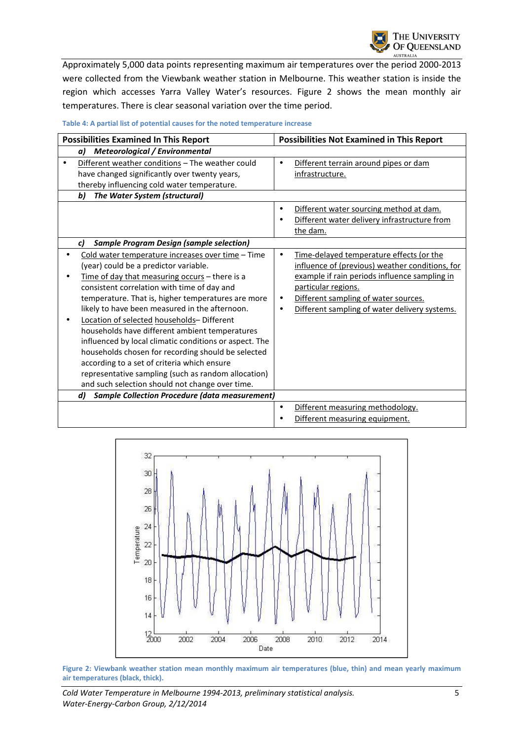Approximately 5,000 data points representing maximum air temperatures over the period 2000-2013 were collected from the Viewbank weather station in Melbourne. This weather station is inside the region which accesses Yarra Valley Water's resources. Figure 2 shows the mean monthly air temperatures. There is clear seasonal variation over the time period.

| <b>Possibilities Examined In This Report</b>                                                                                                                                                                                                                                                                                                                                                                                                                                                                                                                                                                                                                                 |           | <b>Possibilities Not Examined in This Report</b>                                                                                                                                                                                                             |
|------------------------------------------------------------------------------------------------------------------------------------------------------------------------------------------------------------------------------------------------------------------------------------------------------------------------------------------------------------------------------------------------------------------------------------------------------------------------------------------------------------------------------------------------------------------------------------------------------------------------------------------------------------------------------|-----------|--------------------------------------------------------------------------------------------------------------------------------------------------------------------------------------------------------------------------------------------------------------|
| <b>Meteorological / Environmental</b><br>a)                                                                                                                                                                                                                                                                                                                                                                                                                                                                                                                                                                                                                                  |           |                                                                                                                                                                                                                                                              |
| Different weather conditions - The weather could<br>have changed significantly over twenty years,<br>thereby influencing cold water temperature.                                                                                                                                                                                                                                                                                                                                                                                                                                                                                                                             |           | Different terrain around pipes or dam<br>infrastructure.                                                                                                                                                                                                     |
| b)<br>The Water System (structural)                                                                                                                                                                                                                                                                                                                                                                                                                                                                                                                                                                                                                                          |           |                                                                                                                                                                                                                                                              |
|                                                                                                                                                                                                                                                                                                                                                                                                                                                                                                                                                                                                                                                                              | $\bullet$ | Different water sourcing method at dam.<br>Different water delivery infrastructure from<br>the dam.                                                                                                                                                          |
| <b>Sample Program Design (sample selection)</b><br>c)                                                                                                                                                                                                                                                                                                                                                                                                                                                                                                                                                                                                                        |           |                                                                                                                                                                                                                                                              |
| Cold water temperature increases over time - Time<br>(year) could be a predictor variable.<br>Time of day that measuring occurs - there is a<br>consistent correlation with time of day and<br>temperature. That is, higher temperatures are more<br>likely to have been measured in the afternoon.<br>Location of selected households- Different<br>households have different ambient temperatures<br>influenced by local climatic conditions or aspect. The<br>households chosen for recording should be selected<br>according to a set of criteria which ensure<br>representative sampling (such as random allocation)<br>and such selection should not change over time. |           | Time-delayed temperature effects (or the<br>influence of (previous) weather conditions, for<br>example if rain periods influence sampling in<br>particular regions.<br>Different sampling of water sources.<br>Different sampling of water delivery systems. |
| <b>Sample Collection Procedure (data measurement)</b><br>d)                                                                                                                                                                                                                                                                                                                                                                                                                                                                                                                                                                                                                  |           |                                                                                                                                                                                                                                                              |
|                                                                                                                                                                                                                                                                                                                                                                                                                                                                                                                                                                                                                                                                              | $\bullet$ | Different measuring methodology.<br>Different measuring equipment.                                                                                                                                                                                           |

**Table 4: A partial list of potential causes for the noted temperature increase** 



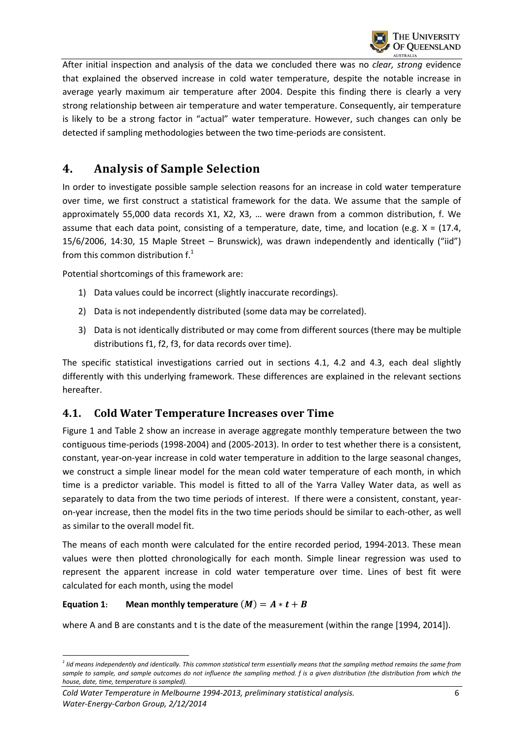

After initial inspection and analysis of the data we concluded there was no *clear, strong* evidence that explained the observed increase in cold water temperature, despite the notable increase in average yearly maximum air temperature after 2004. Despite this finding there is clearly a very strong relationship between air temperature and water temperature. Consequently, air temperature is likely to be a strong factor in "actual" water temperature. However, such changes can only be detected if sampling methodologies between the two time-periods are consistent.

## **4. Analysis of Sample Selection**

In order to investigate possible sample selection reasons for an increase in cold water temperature over time, we first construct a statistical framework for the data. We assume that the sample of approximately 55,000 data records X1, X2, X3, … were drawn from a common distribution, f. We assume that each data point, consisting of a temperature, date, time, and location (e.g.  $X = (17.4,$ 15/6/2006, 14:30, 15 Maple Street – Brunswick), was drawn independently and identically ("iid") from this common distribution  $f<sup>1</sup>$ 

Potential shortcomings of this framework are:

- 1) Data values could be incorrect (slightly inaccurate recordings).
- 2) Data is not independently distributed (some data may be correlated).
- 3) Data is not identically distributed or may come from different sources (there may be multiple distributions f1, f2, f3, for data records over time).

The specific statistical investigations carried out in sections 4.1, 4.2 and 4.3, each deal slightly differently with this underlying framework. These differences are explained in the relevant sections hereafter.

#### **4.1. Cold Water Temperature Increases over Time**

Figure 1 and Table 2 show an increase in average aggregate monthly temperature between the two contiguous time-periods (1998-2004) and (2005-2013). In order to test whether there is a consistent, constant, year-on-year increase in cold water temperature in addition to the large seasonal changes, we construct a simple linear model for the mean cold water temperature of each month, in which time is a predictor variable. This model is fitted to all of the Yarra Valley Water data, as well as separately to data from the two time periods of interest. If there were a consistent, constant, yearon-year increase, then the model fits in the two time periods should be similar to each-other, as well as similar to the overall model fit.

The means of each month were calculated for the entire recorded period, 1994-2013. These mean values were then plotted chronologically for each month. Simple linear regression was used to represent the apparent increase in cold water temperature over time. Lines of best fit were calculated for each month, using the model

#### **Equation 1:** Mean monthly temperature  $(M) = A * t + B$

l

where A and B are constants and t is the date of the measurement (within the range [1994, 2014]).

*<sup>1</sup> Iid means independently and identically. This common statistical term essentially means that the sampling method remains the same from*  sample to sample, and sample outcomes do not influence the sampling method. f is a given distribution (the distribution from which the *house, date, time, temperature is sampled).*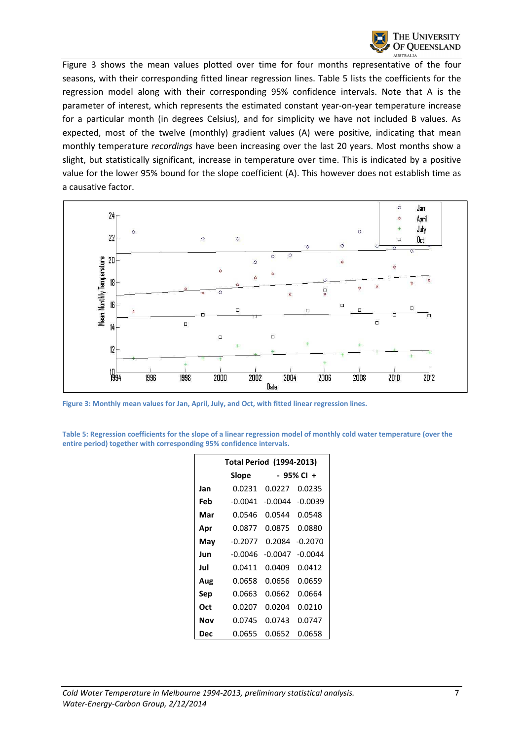

Figure 3 shows the mean values plotted over time for four months representative of the four seasons, with their corresponding fitted linear regression lines. Table 5 lists the coefficients for the regression model along with their corresponding 95% confidence intervals. Note that A is the parameter of interest, which represents the estimated constant year-on-year temperature increase for a particular month (in degrees Celsius), and for simplicity we have not included B values. As expected, most of the twelve (monthly) gradient values (A) were positive, indicating that mean monthly temperature *recordings* have been increasing over the last 20 years. Most months show a slight, but statistically significant, increase in temperature over time. This is indicated by a positive value for the lower 95% bound for the slope coefficient (A). This however does not establish time as a causative factor.



**Figure 3: Monthly mean values for Jan, April, July, and Oct, with fitted linear regression lines.** 

**Table 5: Regression coefficients for the slope of a linear regression model of monthly cold water temperature (over the entire period) together with corresponding 95% confidence intervals.** 

|     | <b>Total Period (1994-2013)</b> |           |            |
|-----|---------------------------------|-----------|------------|
|     | Slope                           |           | - 95% Cl + |
| Jan | 0.0231                          | 0.0227    | 0.0235     |
| Feb | $-0.0041$                       | $-0.0044$ | -0.0039    |
| Mar | 0.0546                          | 0.0544    | 0.0548     |
| Apr | 0.0877                          | 0.0875    | 0.0880     |
| Mav | -0.2077                         | 0.2084    | -0.2070    |
| Jun | -0.0046                         | $-0.0047$ | $-0.0044$  |
| Jul | 0.0411                          | 0.0409    | 0.0412     |
| Aug | 0.0658                          | 0.0656    | 0.0659     |
| Sep | 0.0663                          | 0.0662    | 0.0664     |
| Oct | 0.0207                          | 0.0204    | 0.0210     |
| Nov | 0.0745                          | 0.0743    | 0.0747     |
| Dec | 0.0655                          | 0.0652    | 0.0658     |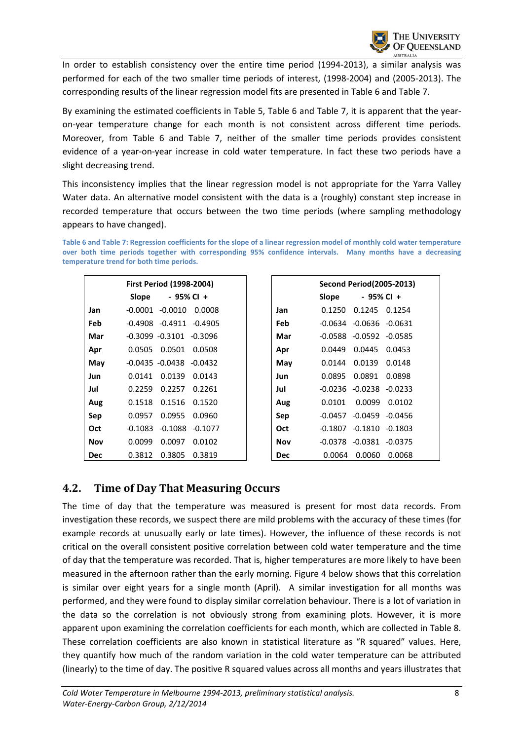In order to establish consistency over the entire time period (1994-2013), a similar analysis was performed for each of the two smaller time periods of interest, (1998-2004) and (2005-2013). The corresponding results of the linear regression model fits are presented in Table 6 and Table 7.

By examining the estimated coefficients in Table 5, Table 6 and Table 7, it is apparent that the yearon-year temperature change for each month is not consistent across different time periods. Moreover, from Table 6 and Table 7, neither of the smaller time periods provides consistent evidence of a year-on-year increase in cold water temperature. In fact these two periods have a slight decreasing trend.

This inconsistency implies that the linear regression model is not appropriate for the Yarra Valley Water data. An alternative model consistent with the data is a (roughly) constant step increase in recorded temperature that occurs between the two time periods (where sampling methodology appears to have changed).

**Table 6 and Table 7: Regression coefficients for the slope of a linear regression model of monthly cold water temperature over both time periods together with corresponding 95% confidence intervals. Many months have a decreasing temperature trend for both time periods.** 

|            | <b>First Period (1998-2004)</b>   |            |              | <b>Second Period (2005-2013)</b> |           |
|------------|-----------------------------------|------------|--------------|----------------------------------|-----------|
|            | - 95% CI +<br>Slope               |            | <b>Slope</b> | - 95% CI +                       |           |
| Jan        | $-0.0010$<br>-0.0001<br>0.0008    | Jan        | 0.1250       | 0.1245                           | 0.1254    |
| Feb        | $-0.4911 - 0.4905$<br>-0.4908     | <b>Feb</b> |              | $-0.0634$ $-0.0636$ $-0.0631$    |           |
| Mar        | $-0.3099 - 0.3101$<br>$-0.3096$   | Mar        | $-0.0588$    | $-0.0592$                        | $-0.0585$ |
| Apr        | 0.0501<br>0.0505<br>0.0508        | Apr        | 0.0449       | 0.0445                           | 0.0453    |
| May        | $-0.0435 - 0.0438 - 0.0432$       | May        | 0.0144       | 0.0139                           | 0.0148    |
| Jun        | 0.0139<br>0.0141<br>0.0143        | Jun        | 0.0895       | 0.0891                           | 0.0898    |
| Jul        | 0.2259<br>0.2257<br>0.2261        | Jul        |              | $-0.0236$ $-0.0238$ $-0.0233$    |           |
| Aug        | 0.1518<br>0.1516<br>0.1520        | Aug        | 0.0101       | 0.0099                           | 0.0102    |
| Sep        | 0.0955<br>0.0957<br>0.0960        | Sep        | $-0.0457$    | $-0.0459 - 0.0456$               |           |
| <b>Oct</b> | $-0.1083$<br>-0.1088<br>$-0.1077$ | <b>Oct</b> | $-0.1807$    | $-0.1810 - 0.1803$               |           |
| <b>Nov</b> | 0.0099<br>0.0097<br>0.0102        | <b>Nov</b> | $-0.0378$    | $-0.0381$                        | $-0.0375$ |
| <b>Dec</b> | 0.3805<br>0.3812<br>0.3819        | <b>Dec</b> | 0.0064       | 0.0060                           | 0.0068    |

#### **4.2. Time of Day That Measuring Occurs**

The time of day that the temperature was measured is present for most data records. From investigation these records, we suspect there are mild problems with the accuracy of these times (for example records at unusually early or late times). However, the influence of these records is not critical on the overall consistent positive correlation between cold water temperature and the time of day that the temperature was recorded. That is, higher temperatures are more likely to have been measured in the afternoon rather than the early morning. Figure 4 below shows that this correlation is similar over eight years for a single month (April). A similar investigation for all months was performed, and they were found to display similar correlation behaviour. There is a lot of variation in the data so the correlation is not obviously strong from examining plots. However, it is more apparent upon examining the correlation coefficients for each month, which are collected in Table 8. These correlation coefficients are also known in statistical literature as "R squared" values. Here, they quantify how much of the random variation in the cold water temperature can be attributed (linearly) to the time of day. The positive R squared values across all months and years illustrates that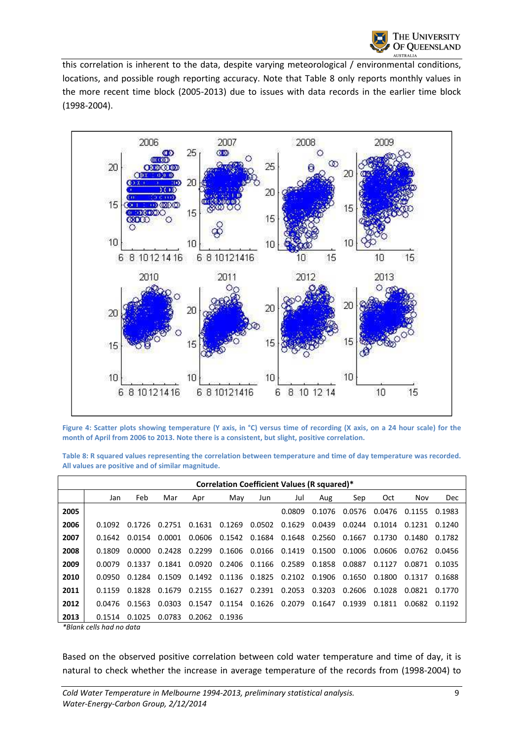

this correlation is inherent to the data, despite varying meteorological / environmental conditions, locations, and possible rough reporting accuracy. Note that Table 8 only reports monthly values in the more recent time block (2005-2013) due to issues with data records in the earlier time block (1998-2004).



**Figure 4: Scatter plots showing temperature (Y axis, in °C) versus time of recording (X axis, on a 24 hour scale) for the month of April from 2006 to 2013. Note there is a consistent, but slight, positive correlation.** 

**Table 8: R squared values representing the correlation between temperature and time of day temperature was recorded. All values are positive and of similar magnitude.** 

|      | Correlation Coefficient Values (R squared)* |        |        |        |        |               |                      |        |        |            |        |            |  |  |  |
|------|---------------------------------------------|--------|--------|--------|--------|---------------|----------------------|--------|--------|------------|--------|------------|--|--|--|
|      | Jan                                         | Feb    | Mar    | Apr    | May    | Jun           | Jul                  | Aug    | Sep    | <b>Oct</b> | Nov    | <b>Dec</b> |  |  |  |
| 2005 |                                             |        |        |        |        |               | 0.0809               | 0.1076 | 0.0576 | 0.0476     | 0.1155 | 0.1983     |  |  |  |
| 2006 | 0.1092                                      | 0.1726 | 0.2751 | 0.1631 | 0.1269 | 0.0502        | 0.1629               | 0.0439 | 0.0244 | 0.1014     | 0.1231 | 0.1240     |  |  |  |
| 2007 | 0.1642                                      | 0.0154 | 0.0001 | 0.0606 | 0.1542 |               | 0.1684 0.1648 0.2560 |        | 0.1667 | 0.1730     | 0.1480 | 0.1782     |  |  |  |
| 2008 | 0.1809                                      | 0.0000 | 0.2428 | 0.2299 | 0.1606 | 0.0166 0.1419 |                      | 0.1500 | 0.1006 | 0.0606     | 0.0762 | 0.0456     |  |  |  |
| 2009 | 0.0079                                      | 0.1337 | 0.1841 | 0.0920 | 0.2406 | 0.1166 0.2589 |                      | 0.1858 | 0.0887 | 0.1127     | 0.0871 | 0.1035     |  |  |  |
| 2010 | 0.0950                                      | 0.1284 | 0.1509 | 0.1492 | 0.1136 | 0.1825        | 0.2102               | 0.1906 | 0.1650 | 0.1800     | 0.1317 | 0.1688     |  |  |  |
| 2011 | 0.1159                                      | 0.1828 | 0.1679 | 0.2155 | 0.1627 | 0.2391        | 0.2053               | 0.3203 | 0.2606 | 0.1028     | 0.0821 | 0.1770     |  |  |  |
| 2012 | 0.0476                                      | 0.1563 | 0.0303 | 0.1547 | 0.1154 | 0.1626        | 0.2079               | 0.1647 | 0.1939 | 0.1811     | 0.0682 | 0.1192     |  |  |  |
| 2013 | 0.1514                                      | 0.1025 | 0.0783 | 0.2062 | 0.1936 |               |                      |        |        |            |        |            |  |  |  |

*\*Blank cells had no data* 

Based on the observed positive correlation between cold water temperature and time of day, it is natural to check whether the increase in average temperature of the records from (1998-2004) to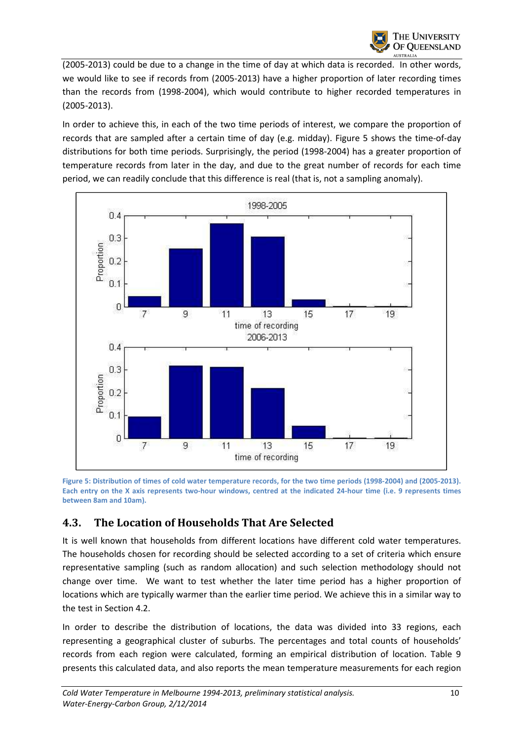(2005-2013) could be due to a change in the time of day at which data is recorded. In other words, we would like to see if records from (2005-2013) have a higher proportion of later recording times than the records from (1998-2004), which would contribute to higher recorded temperatures in (2005-2013).

In order to achieve this, in each of the two time periods of interest, we compare the proportion of records that are sampled after a certain time of day (e.g. midday). Figure 5 shows the time-of-day distributions for both time periods. Surprisingly, the period (1998-2004) has a greater proportion of temperature records from later in the day, and due to the great number of records for each time period, we can readily conclude that this difference is real (that is, not a sampling anomaly).



**Figure 5: Distribution of times of cold water temperature records, for the two time periods (1998-2004) and (2005-2013). Each entry on the X axis represents two-hour windows, centred at the indicated 24-hour time (i.e. 9 represents times between 8am and 10am).** 

## **4.3. The Location of Households That Are Selected**

It is well known that households from different locations have different cold water temperatures. The households chosen for recording should be selected according to a set of criteria which ensure representative sampling (such as random allocation) and such selection methodology should not change over time. We want to test whether the later time period has a higher proportion of locations which are typically warmer than the earlier time period. We achieve this in a similar way to the test in Section 4.2.

In order to describe the distribution of locations, the data was divided into 33 regions, each representing a geographical cluster of suburbs. The percentages and total counts of households' records from each region were calculated, forming an empirical distribution of location. Table 9 presents this calculated data, and also reports the mean temperature measurements for each region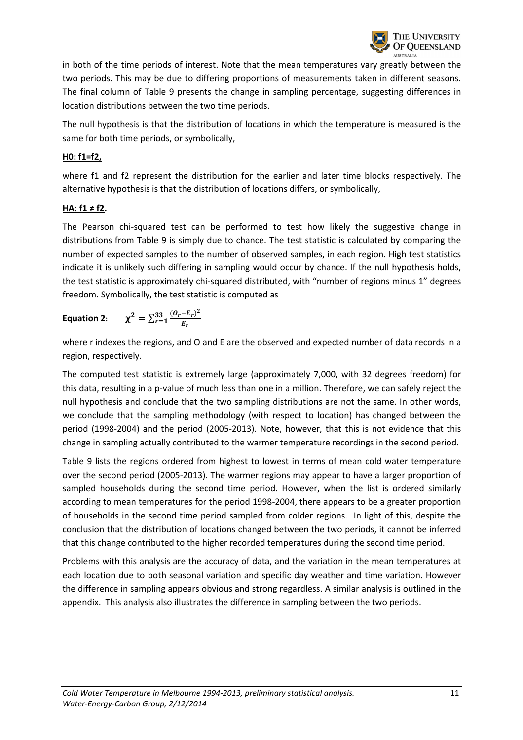in both of the time periods of interest. Note that the mean temperatures vary greatly between the two periods. This may be due to differing proportions of measurements taken in different seasons. The final column of Table 9 presents the change in sampling percentage, suggesting differences in location distributions between the two time periods.

The null hypothesis is that the distribution of locations in which the temperature is measured is the same for both time periods, or symbolically,

#### **H0: f1=f2,**

where f1 and f2 represent the distribution for the earlier and later time blocks respectively. The alternative hypothesis is that the distribution of locations differs, or symbolically,

#### **HA: f1 ≠ f2.**

The Pearson chi-squared test can be performed to test how likely the suggestive change in distributions from Table 9 is simply due to chance. The test statistic is calculated by comparing the number of expected samples to the number of observed samples, in each region. High test statistics indicate it is unlikely such differing in sampling would occur by chance. If the null hypothesis holds, the test statistic is approximately chi-squared distributed, with "number of regions minus 1" degrees freedom. Symbolically, the test statistic is computed as

Equation 2: 
$$
\chi^2 = \sum_{r=1}^{33} \frac{(O_r - E_r)^2}{E_r}
$$

where r indexes the regions, and O and E are the observed and expected number of data records in a region, respectively.

The computed test statistic is extremely large (approximately 7,000, with 32 degrees freedom) for this data, resulting in a p-value of much less than one in a million. Therefore, we can safely reject the null hypothesis and conclude that the two sampling distributions are not the same. In other words, we conclude that the sampling methodology (with respect to location) has changed between the period (1998-2004) and the period (2005-2013). Note, however, that this is not evidence that this change in sampling actually contributed to the warmer temperature recordings in the second period.

Table 9 lists the regions ordered from highest to lowest in terms of mean cold water temperature over the second period (2005-2013). The warmer regions may appear to have a larger proportion of sampled households during the second time period. However, when the list is ordered similarly according to mean temperatures for the period 1998-2004, there appears to be a greater proportion of households in the second time period sampled from colder regions. In light of this, despite the conclusion that the distribution of locations changed between the two periods, it cannot be inferred that this change contributed to the higher recorded temperatures during the second time period.

Problems with this analysis are the accuracy of data, and the variation in the mean temperatures at each location due to both seasonal variation and specific day weather and time variation. However the difference in sampling appears obvious and strong regardless. A similar analysis is outlined in the appendix. This analysis also illustrates the difference in sampling between the two periods.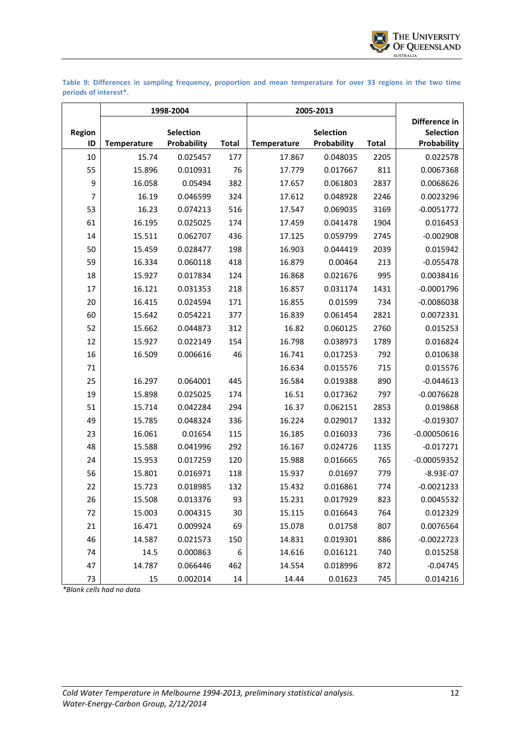

**Table 9: Differences in sampling frequency, proportion and mean temperature for over 33 regions in the two time periods of interest\*.** 

|                     |                    | 1998-2004                       |              | 2005-2013          |                                 |              |                                                  |
|---------------------|--------------------|---------------------------------|--------------|--------------------|---------------------------------|--------------|--------------------------------------------------|
| <b>Region</b><br>ID | <b>Temperature</b> | <b>Selection</b><br>Probability | <b>Total</b> | <b>Temperature</b> | <b>Selection</b><br>Probability | <b>Total</b> | Difference in<br><b>Selection</b><br>Probability |
| 10                  | 15.74              | 0.025457                        | 177          | 17.867             | 0.048035                        | 2205         | 0.022578                                         |
| 55                  | 15.896             | 0.010931                        | 76           | 17.779             | 0.017667                        | 811          | 0.0067368                                        |
| 9                   | 16.058             | 0.05494                         | 382          | 17.657             | 0.061803                        | 2837         | 0.0068626                                        |
| 7                   | 16.19              | 0.046599                        | 324          | 17.612             | 0.048928                        | 2246         | 0.0023296                                        |
| 53                  | 16.23              | 0.074213                        | 516          | 17.547             | 0.069035                        | 3169         | $-0.0051772$                                     |
| 61                  | 16.195             | 0.025025                        | 174          | 17.459             | 0.041478                        | 1904         | 0.016453                                         |
| 14                  | 15.511             | 0.062707                        | 436          | 17.125             | 0.059799                        | 2745         | $-0.002908$                                      |
| 50                  | 15.459             | 0.028477                        | 198          | 16.903             | 0.044419                        | 2039         | 0.015942                                         |
| 59                  | 16.334             | 0.060118                        | 418          | 16.879             | 0.00464                         | 213          | $-0.055478$                                      |
| 18                  | 15.927             | 0.017834                        | 124          | 16.868             | 0.021676                        | 995          | 0.0038416                                        |
| 17                  | 16.121             | 0.031353                        | 218          | 16.857             | 0.031174                        | 1431         | $-0.0001796$                                     |
| 20                  | 16.415             | 0.024594                        | 171          | 16.855             | 0.01599                         | 734          | $-0.0086038$                                     |
| 60                  | 15.642             | 0.054221                        | 377          | 16.839             | 0.061454                        | 2821         | 0.0072331                                        |
| 52                  | 15.662             | 0.044873                        | 312          | 16.82              | 0.060125                        | 2760         | 0.015253                                         |
| 12                  | 15.927             | 0.022149                        | 154          | 16.798             | 0.038973                        | 1789         | 0.016824                                         |
| 16                  | 16.509             | 0.006616                        | 46           | 16.741             | 0.017253                        | 792          | 0.010638                                         |
| 71                  |                    |                                 |              | 16.634             | 0.015576                        | 715          | 0.015576                                         |
| 25                  | 16.297             | 0.064001                        | 445          | 16.584             | 0.019388                        | 890          | $-0.044613$                                      |
| 19                  | 15.898             | 0.025025                        | 174          | 16.51              | 0.017362                        | 797          | $-0.0076628$                                     |
| 51                  | 15.714             | 0.042284                        | 294          | 16.37              | 0.062151                        | 2853         | 0.019868                                         |
| 49                  | 15.785             | 0.048324                        | 336          | 16.224             | 0.029017                        | 1332         | $-0.019307$                                      |
| 23                  | 16.061             | 0.01654                         | 115          | 16.185             | 0.016033                        | 736          | $-0.00050616$                                    |
| 48                  | 15.588             | 0.041996                        | 292          | 16.167             | 0.024726                        | 1135         | $-0.017271$                                      |
| 24                  | 15.953             | 0.017259                        | 120          | 15.988             | 0.016665                        | 765          | $-0.00059352$                                    |
| 56                  | 15.801             | 0.016971                        | 118          | 15.937             | 0.01697                         | 779          | $-8.93E-07$                                      |
| 22                  | 15.723             | 0.018985                        | 132          | 15.432             | 0.016861                        | 774          | $-0.0021233$                                     |
| 26                  | 15.508             | 0.013376                        | 93           | 15.231             | 0.017929                        | 823          | 0.0045532                                        |
| 72                  | 15.003             | 0.004315                        | 30           | 15.115             | 0.016643                        | 764          | 0.012329                                         |
| 21                  | 16.471             | 0.009924                        | 69           | 15.078             | 0.01758                         | 807          | 0.0076564                                        |
| 46                  | 14.587             | 0.021573                        | 150          | 14.831             | 0.019301                        | 886          | $-0.0022723$                                     |
| 74                  | 14.5               | 0.000863                        | 6            | 14.616             | 0.016121                        | 740          | 0.015258                                         |
| 47                  | 14.787             | 0.066446                        | 462          | 14.554             | 0.018996                        | 872          | $-0.04745$                                       |
| 73                  | 15                 | 0.002014                        | 14           | 14.44              | 0.01623                         | 745          | 0.014216                                         |

*\*Blank cells had no data*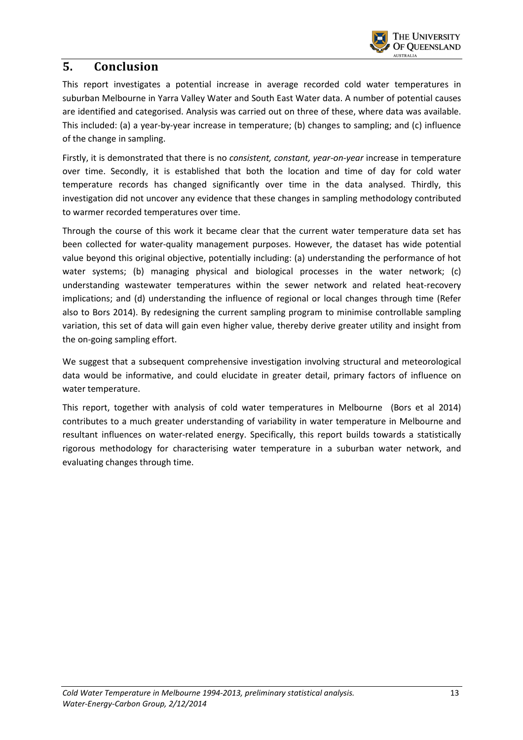

### **5. Conclusion**

This report investigates a potential increase in average recorded cold water temperatures in suburban Melbourne in Yarra Valley Water and South East Water data. A number of potential causes are identified and categorised. Analysis was carried out on three of these, where data was available. This included: (a) a year-by-year increase in temperature; (b) changes to sampling; and (c) influence of the change in sampling.

Firstly, it is demonstrated that there is no *consistent, constant, year-on-year* increase in temperature over time. Secondly, it is established that both the location and time of day for cold water temperature records has changed significantly over time in the data analysed. Thirdly, this investigation did not uncover any evidence that these changes in sampling methodology contributed to warmer recorded temperatures over time.

Through the course of this work it became clear that the current water temperature data set has been collected for water-quality management purposes. However, the dataset has wide potential value beyond this original objective, potentially including: (a) understanding the performance of hot water systems; (b) managing physical and biological processes in the water network; (c) understanding wastewater temperatures within the sewer network and related heat-recovery implications; and (d) understanding the influence of regional or local changes through time (Refer also to Bors 2014). By redesigning the current sampling program to minimise controllable sampling variation, this set of data will gain even higher value, thereby derive greater utility and insight from the on-going sampling effort.

We suggest that a subsequent comprehensive investigation involving structural and meteorological data would be informative, and could elucidate in greater detail, primary factors of influence on water temperature.

This report, together with analysis of cold water temperatures in Melbourne (Bors et al 2014) contributes to a much greater understanding of variability in water temperature in Melbourne and resultant influences on water-related energy. Specifically, this report builds towards a statistically rigorous methodology for characterising water temperature in a suburban water network, and evaluating changes through time.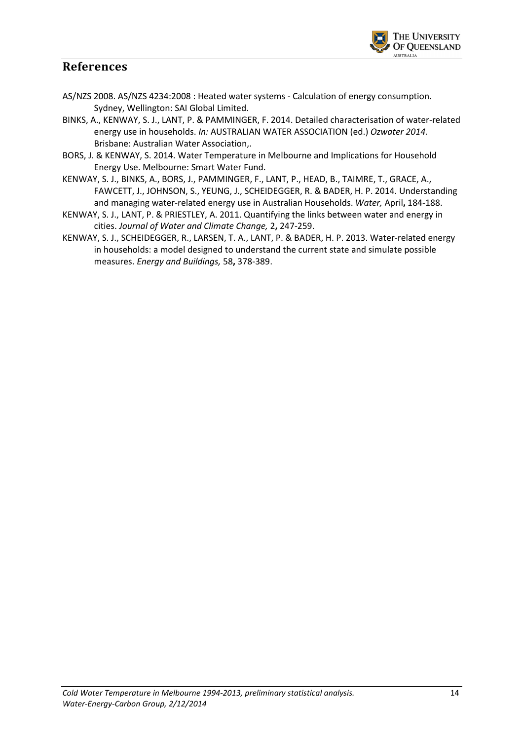

#### **References**

- AS/NZS 2008. AS/NZS 4234:2008 : Heated water systems Calculation of energy consumption. Sydney, Wellington: SAI Global Limited.
- BINKS, A., KENWAY, S. J., LANT, P. & PAMMINGER, F. 2014. Detailed characterisation of water-related energy use in households. *In:* AUSTRALIAN WATER ASSOCIATION (ed.) *Ozwater 2014.* Brisbane: Australian Water Association,.
- BORS, J. & KENWAY, S. 2014. Water Temperature in Melbourne and Implications for Household Energy Use. Melbourne: Smart Water Fund.
- KENWAY, S. J., BINKS, A., BORS, J., PAMMINGER, F., LANT, P., HEAD, B., TAIMRE, T., GRACE, A., FAWCETT, J., JOHNSON, S., YEUNG, J., SCHEIDEGGER, R. & BADER, H. P. 2014. Understanding and managing water-related energy use in Australian Households. *Water,* April**,** 184-188.
- KENWAY, S. J., LANT, P. & PRIESTLEY, A. 2011. Quantifying the links between water and energy in cities. *Journal of Water and Climate Change,* 2**,** 247-259.
- KENWAY, S. J., SCHEIDEGGER, R., LARSEN, T. A., LANT, P. & BADER, H. P. 2013. Water-related energy in households: a model designed to understand the current state and simulate possible measures. *Energy and Buildings,* 58**,** 378-389.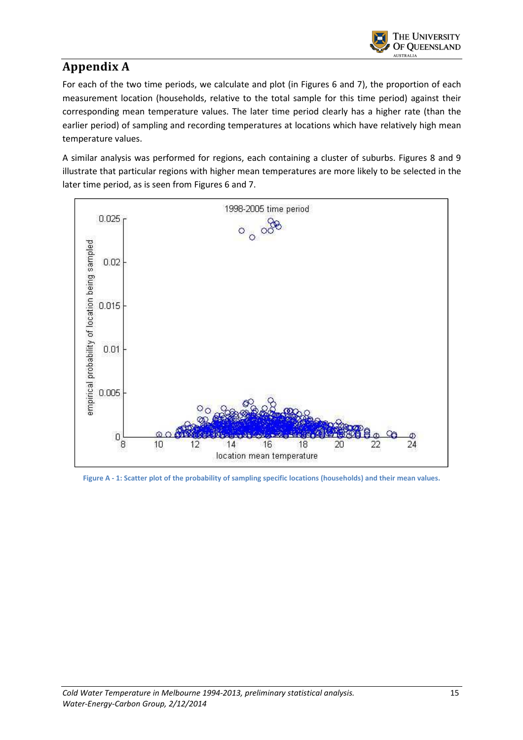

## **Appendix A**

For each of the two time periods, we calculate and plot (in Figures 6 and 7), the proportion of each measurement location (households, relative to the total sample for this time period) against their corresponding mean temperature values. The later time period clearly has a higher rate (than the earlier period) of sampling and recording temperatures at locations which have relatively high mean temperature values.

A similar analysis was performed for regions, each containing a cluster of suburbs. Figures 8 and 9 illustrate that particular regions with higher mean temperatures are more likely to be selected in the later time period, as is seen from Figures 6 and 7.



**Figure A - 1: Scatter plot of the probability of sampling specific locations (households) and their mean values.**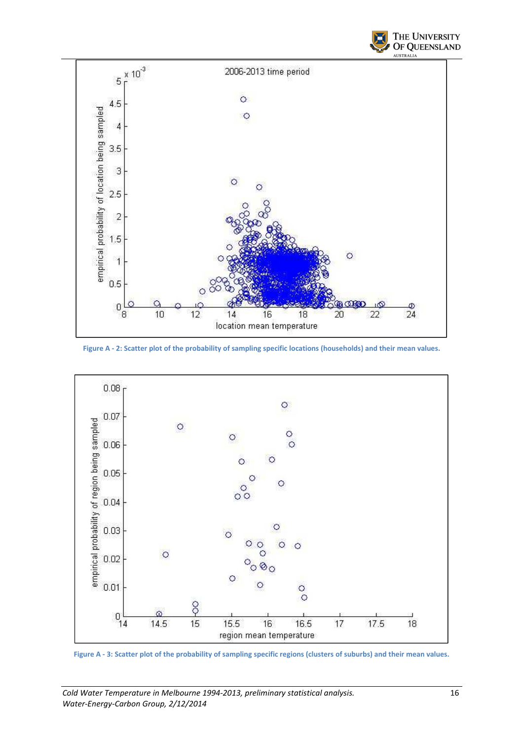



**Figure A - 2: Scatter plot of the probability of sampling specific locations (households) and their mean values.** 



**Figure A - 3: Scatter plot of the probability of sampling specific regions (clusters of suburbs) and their mean values.**